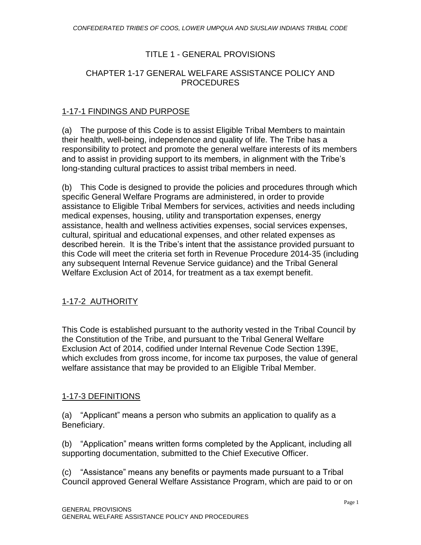### TITLE 1 - GENERAL PROVISIONS

### CHAPTER 1-17 GENERAL WELFARE ASSISTANCE POLICY AND PROCEDURES

#### 1-17-1 FINDINGS AND PURPOSE

(a) The purpose of this Code is to assist Eligible Tribal Members to maintain their health, well-being, independence and quality of life. The Tribe has a responsibility to protect and promote the general welfare interests of its members and to assist in providing support to its members, in alignment with the Tribe's long-standing cultural practices to assist tribal members in need.

(b) This Code is designed to provide the policies and procedures through which specific General Welfare Programs are administered, in order to provide assistance to Eligible Tribal Members for services, activities and needs including medical expenses, housing, utility and transportation expenses, energy assistance, health and wellness activities expenses, social services expenses, cultural, spiritual and educational expenses, and other related expenses as described herein. It is the Tribe's intent that the assistance provided pursuant to this Code will meet the criteria set forth in Revenue Procedure 2014-35 (including any subsequent Internal Revenue Service guidance) and the Tribal General Welfare Exclusion Act of 2014, for treatment as a tax exempt benefit.

### 1-17-2 AUTHORITY

This Code is established pursuant to the authority vested in the Tribal Council by the Constitution of the Tribe, and pursuant to the Tribal General Welfare Exclusion Act of 2014, codified under Internal Revenue Code Section 139E, which excludes from gross income, for income tax purposes, the value of general welfare assistance that may be provided to an Eligible Tribal Member.

### 1-17-3 DEFINITIONS

(a) "Applicant" means a person who submits an application to qualify as a Beneficiary.

(b) "Application" means written forms completed by the Applicant, including all supporting documentation, submitted to the Chief Executive Officer.

(c) "Assistance" means any benefits or payments made pursuant to a Tribal Council approved General Welfare Assistance Program, which are paid to or on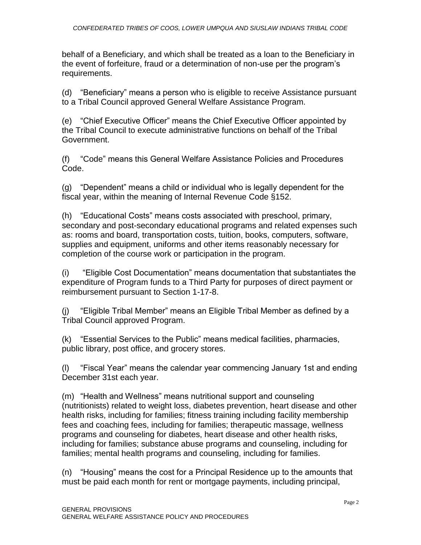behalf of a Beneficiary, and which shall be treated as a loan to the Beneficiary in the event of forfeiture, fraud or a determination of non-use per the program's requirements.

(d) "Beneficiary" means a person who is eligible to receive Assistance pursuant to a Tribal Council approved General Welfare Assistance Program.

(e) "Chief Executive Officer" means the Chief Executive Officer appointed by the Tribal Council to execute administrative functions on behalf of the Tribal Government.

(f) "Code" means this General Welfare Assistance Policies and Procedures Code.

(g) "Dependent" means a child or individual who is legally dependent for the fiscal year, within the meaning of Internal Revenue Code §152.

(h) "Educational Costs" means costs associated with preschool, primary, secondary and post-secondary educational programs and related expenses such as: rooms and board, transportation costs, tuition, books, computers, software, supplies and equipment, uniforms and other items reasonably necessary for completion of the course work or participation in the program.

(i) "Eligible Cost Documentation" means documentation that substantiates the expenditure of Program funds to a Third Party for purposes of direct payment or reimbursement pursuant to Section 1-17-8.

(j) "Eligible Tribal Member" means an Eligible Tribal Member as defined by a Tribal Council approved Program.

(k) "Essential Services to the Public" means medical facilities, pharmacies, public library, post office, and grocery stores.

(l) "Fiscal Year" means the calendar year commencing January 1st and ending December 31st each year.

(m) "Health and Wellness" means nutritional support and counseling (nutritionists) related to weight loss, diabetes prevention, heart disease and other health risks, including for families; fitness training including facility membership fees and coaching fees, including for families; therapeutic massage, wellness programs and counseling for diabetes, heart disease and other health risks, including for families; substance abuse programs and counseling, including for families; mental health programs and counseling, including for families.

(n) "Housing" means the cost for a Principal Residence up to the amounts that must be paid each month for rent or mortgage payments, including principal,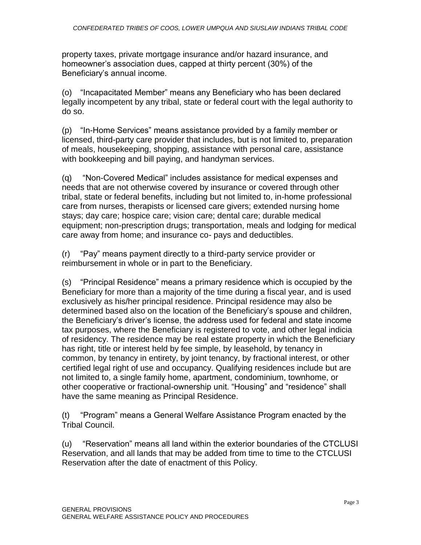property taxes, private mortgage insurance and/or hazard insurance, and homeowner's association dues, capped at thirty percent (30%) of the Beneficiary's annual income.

(o) "Incapacitated Member" means any Beneficiary who has been declared legally incompetent by any tribal, state or federal court with the legal authority to do so.

(p) "In-Home Services" means assistance provided by a family member or licensed, third-party care provider that includes, but is not limited to, preparation of meals, housekeeping, shopping, assistance with personal care, assistance with bookkeeping and bill paying, and handyman services.

(q) "Non-Covered Medical" includes assistance for medical expenses and needs that are not otherwise covered by insurance or covered through other tribal, state or federal benefits, including but not limited to, in-home professional care from nurses, therapists or licensed care givers; extended nursing home stays; day care; hospice care; vision care; dental care; durable medical equipment; non-prescription drugs; transportation, meals and lodging for medical care away from home; and insurance co- pays and deductibles.

(r) "Pay" means payment directly to a third-party service provider or reimbursement in whole or in part to the Beneficiary.

(s) "Principal Residence" means a primary residence which is occupied by the Beneficiary for more than a majority of the time during a fiscal year, and is used exclusively as his/her principal residence. Principal residence may also be determined based also on the location of the Beneficiary's spouse and children, the Beneficiary's driver's license, the address used for federal and state income tax purposes, where the Beneficiary is registered to vote, and other legal indicia of residency. The residence may be real estate property in which the Beneficiary has right, title or interest held by fee simple, by leasehold, by tenancy in common, by tenancy in entirety, by joint tenancy, by fractional interest, or other certified legal right of use and occupancy. Qualifying residences include but are not limited to, a single family home, apartment, condominium, townhome, or other cooperative or fractional-ownership unit. "Housing" and "residence" shall have the same meaning as Principal Residence.

(t) "Program" means a General Welfare Assistance Program enacted by the Tribal Council.

(u) "Reservation" means all land within the exterior boundaries of the CTCLUSI Reservation, and all lands that may be added from time to time to the CTCLUSI Reservation after the date of enactment of this Policy.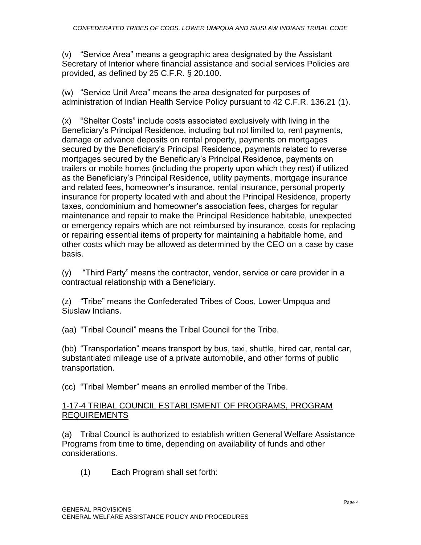(v) "Service Area" means a geographic area designated by the Assistant Secretary of Interior where financial assistance and social services Policies are provided, as defined by 25 C.F.R. § 20.100.

(w) "Service Unit Area" means the area designated for purposes of administration of Indian Health Service Policy pursuant to 42 C.F.R. 136.21 (1).

(x) "Shelter Costs" include costs associated exclusively with living in the Beneficiary's Principal Residence, including but not limited to, rent payments, damage or advance deposits on rental property, payments on mortgages secured by the Beneficiary's Principal Residence, payments related to reverse mortgages secured by the Beneficiary's Principal Residence, payments on trailers or mobile homes (including the property upon which they rest) if utilized as the Beneficiary's Principal Residence, utility payments, mortgage insurance and related fees, homeowner's insurance, rental insurance, personal property insurance for property located with and about the Principal Residence, property taxes, condominium and homeowner's association fees, charges for regular maintenance and repair to make the Principal Residence habitable, unexpected or emergency repairs which are not reimbursed by insurance, costs for replacing or repairing essential items of property for maintaining a habitable home, and other costs which may be allowed as determined by the CEO on a case by case basis.

(y) "Third Party" means the contractor, vendor, service or care provider in a contractual relationship with a Beneficiary.

(z) "Tribe" means the Confederated Tribes of Coos, Lower Umpqua and Siuslaw Indians.

(aa) "Tribal Council" means the Tribal Council for the Tribe.

(bb) "Transportation" means transport by bus, taxi, shuttle, hired car, rental car, substantiated mileage use of a private automobile, and other forms of public transportation.

(cc) "Tribal Member" means an enrolled member of the Tribe.

### 1-17-4 TRIBAL COUNCIL ESTABLISMENT OF PROGRAMS, PROGRAM REQUIREMENTS

(a) Tribal Council is authorized to establish written General Welfare Assistance Programs from time to time, depending on availability of funds and other considerations.

(1) Each Program shall set forth: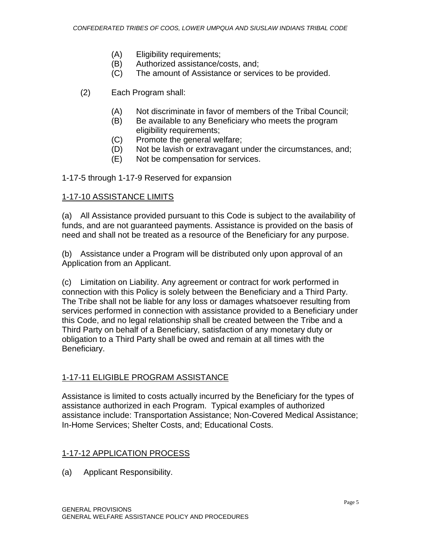- (A) Eligibility requirements;
- (B) Authorized assistance/costs, and;
- (C) The amount of Assistance or services to be provided.
- (2) Each Program shall:
	- (A) Not discriminate in favor of members of the Tribal Council;
	- (B) Be available to any Beneficiary who meets the program eligibility requirements;
	- (C) Promote the general welfare;
	- (D) Not be lavish or extravagant under the circumstances, and;
	- (E) Not be compensation for services.

1-17-5 through 1-17-9 Reserved for expansion

#### 1-17-10 ASSISTANCE LIMITS

(a) All Assistance provided pursuant to this Code is subject to the availability of funds, and are not guaranteed payments. Assistance is provided on the basis of need and shall not be treated as a resource of the Beneficiary for any purpose.

(b) Assistance under a Program will be distributed only upon approval of an Application from an Applicant.

(c) Limitation on Liability. Any agreement or contract for work performed in connection with this Policy is solely between the Beneficiary and a Third Party. The Tribe shall not be liable for any loss or damages whatsoever resulting from services performed in connection with assistance provided to a Beneficiary under this Code, and no legal relationship shall be created between the Tribe and a Third Party on behalf of a Beneficiary, satisfaction of any monetary duty or obligation to a Third Party shall be owed and remain at all times with the Beneficiary.

### 1-17-11 ELIGIBLE PROGRAM ASSISTANCE

Assistance is limited to costs actually incurred by the Beneficiary for the types of assistance authorized in each Program. Typical examples of authorized assistance include: Transportation Assistance; Non-Covered Medical Assistance; In-Home Services; Shelter Costs, and; Educational Costs.

### 1-17-12 APPLICATION PROCESS

(a) Applicant Responsibility.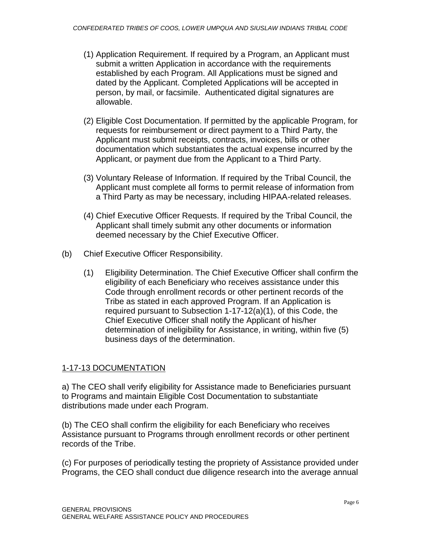- (1) Application Requirement. If required by a Program, an Applicant must submit a written Application in accordance with the requirements established by each Program. All Applications must be signed and dated by the Applicant. Completed Applications will be accepted in person, by mail, or facsimile. Authenticated digital signatures are allowable.
- (2) Eligible Cost Documentation. If permitted by the applicable Program, for requests for reimbursement or direct payment to a Third Party, the Applicant must submit receipts, contracts, invoices, bills or other documentation which substantiates the actual expense incurred by the Applicant, or payment due from the Applicant to a Third Party.
- (3) Voluntary Release of Information. If required by the Tribal Council, the Applicant must complete all forms to permit release of information from a Third Party as may be necessary, including HIPAA-related releases.
- (4) Chief Executive Officer Requests. If required by the Tribal Council, the Applicant shall timely submit any other documents or information deemed necessary by the Chief Executive Officer.
- (b) Chief Executive Officer Responsibility.
	- (1) Eligibility Determination. The Chief Executive Officer shall confirm the eligibility of each Beneficiary who receives assistance under this Code through enrollment records or other pertinent records of the Tribe as stated in each approved Program. If an Application is required pursuant to Subsection 1-17-12(a)(1), of this Code, the Chief Executive Officer shall notify the Applicant of his/her determination of ineligibility for Assistance, in writing, within five (5) business days of the determination.

### 1-17-13 DOCUMENTATION

a) The CEO shall verify eligibility for Assistance made to Beneficiaries pursuant to Programs and maintain Eligible Cost Documentation to substantiate distributions made under each Program.

(b) The CEO shall confirm the eligibility for each Beneficiary who receives Assistance pursuant to Programs through enrollment records or other pertinent records of the Tribe.

(c) For purposes of periodically testing the propriety of Assistance provided under Programs, the CEO shall conduct due diligence research into the average annual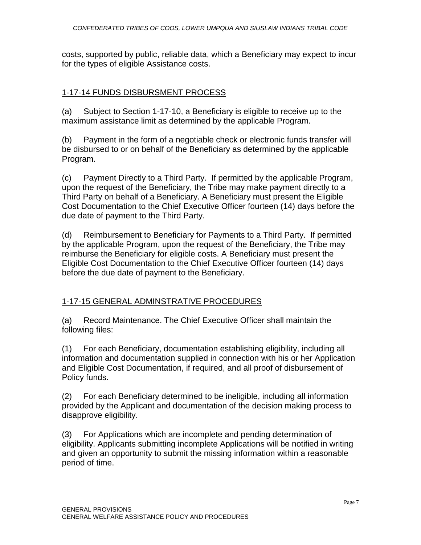costs, supported by public, reliable data, which a Beneficiary may expect to incur for the types of eligible Assistance costs.

### 1-17-14 FUNDS DISBURSMENT PROCESS

(a) Subject to Section 1-17-10, a Beneficiary is eligible to receive up to the maximum assistance limit as determined by the applicable Program.

(b) Payment in the form of a negotiable check or electronic funds transfer will be disbursed to or on behalf of the Beneficiary as determined by the applicable Program.

(c) Payment Directly to a Third Party. If permitted by the applicable Program, upon the request of the Beneficiary, the Tribe may make payment directly to a Third Party on behalf of a Beneficiary. A Beneficiary must present the Eligible Cost Documentation to the Chief Executive Officer fourteen (14) days before the due date of payment to the Third Party.

(d) Reimbursement to Beneficiary for Payments to a Third Party. If permitted by the applicable Program, upon the request of the Beneficiary, the Tribe may reimburse the Beneficiary for eligible costs. A Beneficiary must present the Eligible Cost Documentation to the Chief Executive Officer fourteen (14) days before the due date of payment to the Beneficiary.

## 1-17-15 GENERAL ADMINSTRATIVE PROCEDURES

(a) Record Maintenance. The Chief Executive Officer shall maintain the following files:

(1) For each Beneficiary, documentation establishing eligibility, including all information and documentation supplied in connection with his or her Application and Eligible Cost Documentation, if required, and all proof of disbursement of Policy funds.

(2) For each Beneficiary determined to be ineligible, including all information provided by the Applicant and documentation of the decision making process to disapprove eligibility.

(3) For Applications which are incomplete and pending determination of eligibility. Applicants submitting incomplete Applications will be notified in writing and given an opportunity to submit the missing information within a reasonable period of time.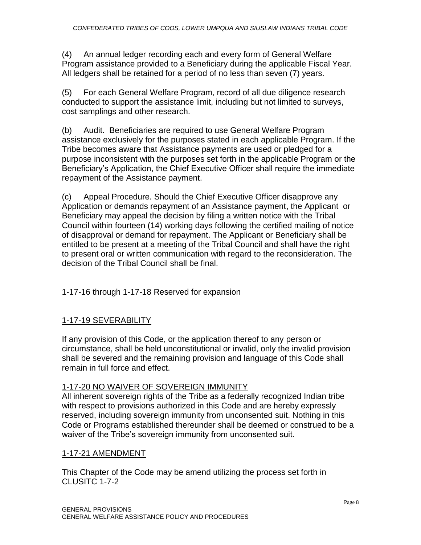(4) An annual ledger recording each and every form of General Welfare Program assistance provided to a Beneficiary during the applicable Fiscal Year. All ledgers shall be retained for a period of no less than seven (7) years.

(5) For each General Welfare Program, record of all due diligence research conducted to support the assistance limit, including but not limited to surveys, cost samplings and other research.

(b) Audit. Beneficiaries are required to use General Welfare Program assistance exclusively for the purposes stated in each applicable Program. If the Tribe becomes aware that Assistance payments are used or pledged for a purpose inconsistent with the purposes set forth in the applicable Program or the Beneficiary's Application, the Chief Executive Officer shall require the immediate repayment of the Assistance payment.

(c) Appeal Procedure. Should the Chief Executive Officer disapprove any Application or demands repayment of an Assistance payment, the Applicant or Beneficiary may appeal the decision by filing a written notice with the Tribal Council within fourteen (14) working days following the certified mailing of notice of disapproval or demand for repayment. The Applicant or Beneficiary shall be entitled to be present at a meeting of the Tribal Council and shall have the right to present oral or written communication with regard to the reconsideration. The decision of the Tribal Council shall be final.

1-17-16 through 1-17-18 Reserved for expansion

## 1-17-19 SEVERABILITY

If any provision of this Code, or the application thereof to any person or circumstance, shall be held unconstitutional or invalid, only the invalid provision shall be severed and the remaining provision and language of this Code shall remain in full force and effect.

### 1-17-20 NO WAIVER OF SOVEREIGN IMMUNITY

All inherent sovereign rights of the Tribe as a federally recognized Indian tribe with respect to provisions authorized in this Code and are hereby expressly reserved, including sovereign immunity from unconsented suit. Nothing in this Code or Programs established thereunder shall be deemed or construed to be a waiver of the Tribe's sovereign immunity from unconsented suit.

### 1-17-21 AMENDMENT

This Chapter of the Code may be amend utilizing the process set forth in CLUSITC 1-7-2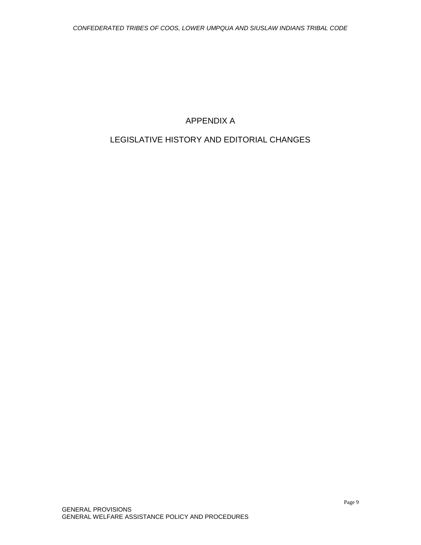# APPENDIX A

# LEGISLATIVE HISTORY AND EDITORIAL CHANGES